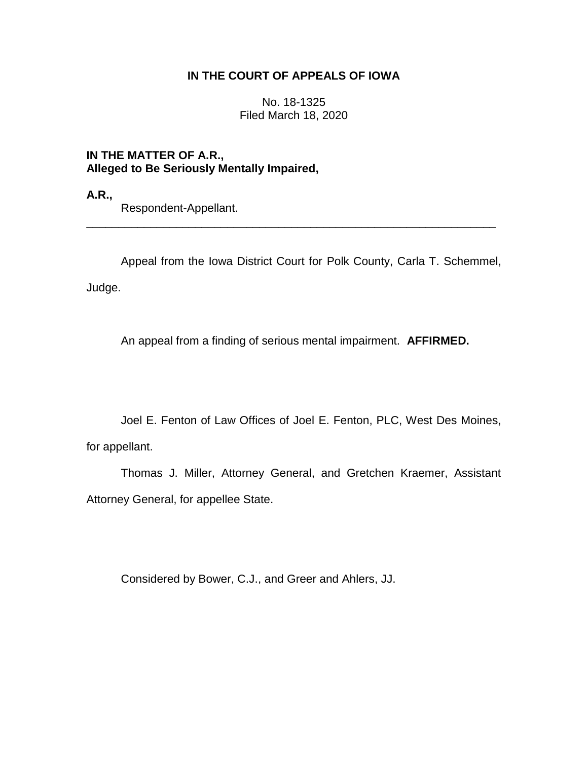## **IN THE COURT OF APPEALS OF IOWA**

No. 18-1325 Filed March 18, 2020

**IN THE MATTER OF A.R., Alleged to Be Seriously Mentally Impaired,**

**A.R.,**

Respondent-Appellant.

Appeal from the Iowa District Court for Polk County, Carla T. Schemmel, Judge.

\_\_\_\_\_\_\_\_\_\_\_\_\_\_\_\_\_\_\_\_\_\_\_\_\_\_\_\_\_\_\_\_\_\_\_\_\_\_\_\_\_\_\_\_\_\_\_\_\_\_\_\_\_\_\_\_\_\_\_\_\_\_\_\_

An appeal from a finding of serious mental impairment. **AFFIRMED.**

Joel E. Fenton of Law Offices of Joel E. Fenton, PLC, West Des Moines,

for appellant.

Thomas J. Miller, Attorney General, and Gretchen Kraemer, Assistant Attorney General, for appellee State.

Considered by Bower, C.J., and Greer and Ahlers, JJ.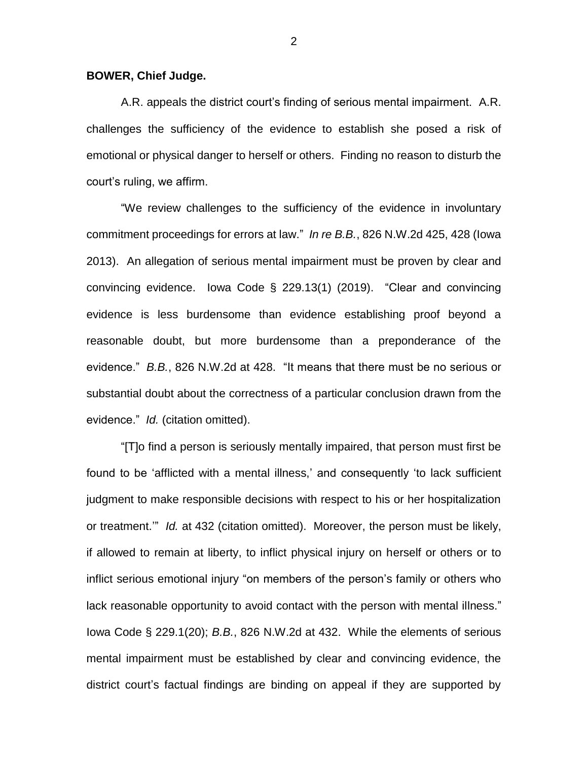## **BOWER, Chief Judge.**

A.R. appeals the district court's finding of serious mental impairment. A.R. challenges the sufficiency of the evidence to establish she posed a risk of emotional or physical danger to herself or others. Finding no reason to disturb the court's ruling, we affirm.

"We review challenges to the sufficiency of the evidence in involuntary commitment proceedings for errors at law." *In re B.B.*, 826 N.W.2d 425, 428 (Iowa 2013). An allegation of serious mental impairment must be proven by clear and convincing evidence. Iowa Code § 229.13(1) (2019). "Clear and convincing evidence is less burdensome than evidence establishing proof beyond a reasonable doubt, but more burdensome than a preponderance of the evidence." *B.B.*, 826 N.W.2d at 428. "It means that there must be no serious or substantial doubt about the correctness of a particular conclusion drawn from the evidence." *Id.* (citation omitted).

"[T]o find a person is seriously mentally impaired, that person must first be found to be 'afflicted with a mental illness,' and consequently 'to lack sufficient judgment to make responsible decisions with respect to his or her hospitalization or treatment.'" *Id.* at 432 (citation omitted). Moreover, the person must be likely, if allowed to remain at liberty, to inflict physical injury on herself or others or to inflict serious emotional injury "on members of the person's family or others who lack reasonable opportunity to avoid contact with the person with mental illness." Iowa Code § 229.1(20); *B.B.*, 826 N.W.2d at 432. While the elements of serious mental impairment must be established by clear and convincing evidence, the district court's factual findings are binding on appeal if they are supported by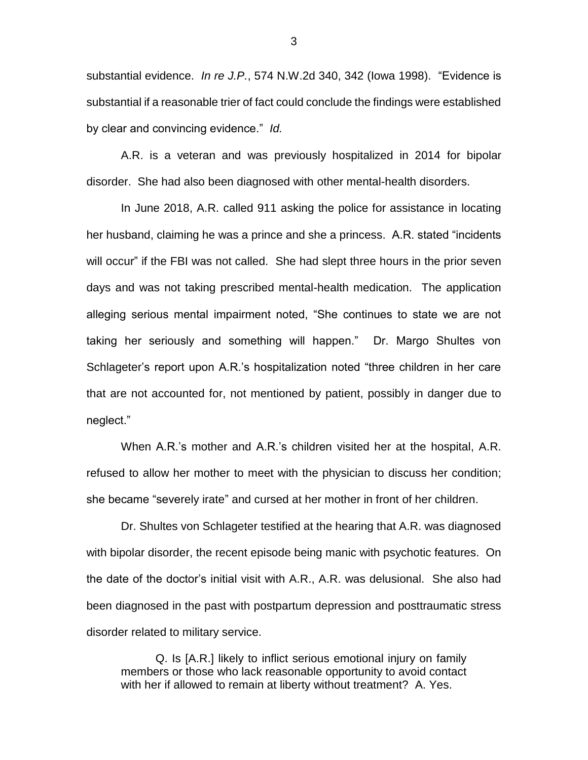substantial evidence. *In re J.P.*, 574 N.W.2d 340, 342 (Iowa 1998). "Evidence is substantial if a reasonable trier of fact could conclude the findings were established by clear and convincing evidence." *Id.*

A.R. is a veteran and was previously hospitalized in 2014 for bipolar disorder. She had also been diagnosed with other mental-health disorders.

In June 2018, A.R. called 911 asking the police for assistance in locating her husband, claiming he was a prince and she a princess. A.R. stated "incidents will occur" if the FBI was not called. She had slept three hours in the prior seven days and was not taking prescribed mental-health medication. The application alleging serious mental impairment noted, "She continues to state we are not taking her seriously and something will happen." Dr. Margo Shultes von Schlageter's report upon A.R.'s hospitalization noted "three children in her care that are not accounted for, not mentioned by patient, possibly in danger due to neglect."

When A.R.'s mother and A.R.'s children visited her at the hospital, A.R. refused to allow her mother to meet with the physician to discuss her condition; she became "severely irate" and cursed at her mother in front of her children.

Dr. Shultes von Schlageter testified at the hearing that A.R. was diagnosed with bipolar disorder, the recent episode being manic with psychotic features. On the date of the doctor's initial visit with A.R., A.R. was delusional. She also had been diagnosed in the past with postpartum depression and posttraumatic stress disorder related to military service.

Q. Is [A.R.] likely to inflict serious emotional injury on family members or those who lack reasonable opportunity to avoid contact with her if allowed to remain at liberty without treatment? A. Yes.

3